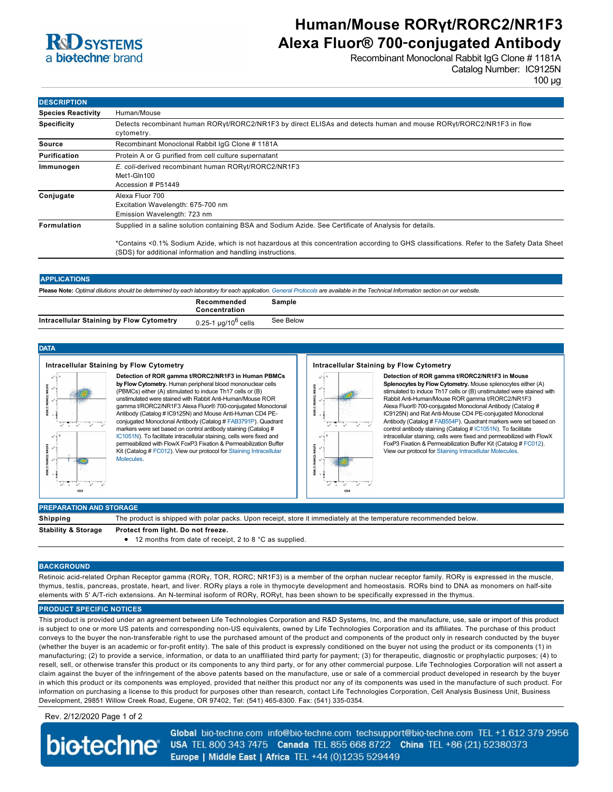

## **Human/Mouse RORγt/RORC2/NR1F3 Alexa Fluor® 700**‑**conjugated Antibody**

Recombinant Monoclonal Rabbit IgG Clone # 1181A Catalog Number: IC9125N

100 µg

| <b>DESCRIPTION</b>        |                                                                                                                                                                                                            |  |
|---------------------------|------------------------------------------------------------------------------------------------------------------------------------------------------------------------------------------------------------|--|
| <b>Species Reactivity</b> | Human/Mouse                                                                                                                                                                                                |  |
| <b>Specificity</b>        | Detects recombinant human RORyt/RORC2/NR1F3 by direct ELISAs and detects human and mouse RORyt/RORC2/NR1F3 in flow<br>cytometry.                                                                           |  |
| Source                    | Recombinant Monoclonal Rabbit IqG Clone #1181A                                                                                                                                                             |  |
| <b>Purification</b>       | Protein A or G purified from cell culture supernatant                                                                                                                                                      |  |
| Immunogen                 | E. coli-derived recombinant human RORyt/RORC2/NR1F3<br>Met1-Gln100<br>Accession # P51449                                                                                                                   |  |
| Conjugate                 | Alexa Fluor 700<br>Excitation Wavelength: 675-700 nm<br>Emission Wavelength: 723 nm                                                                                                                        |  |
| <b>Formulation</b>        | Supplied in a saline solution containing BSA and Sodium Azide. See Certificate of Analysis for details.                                                                                                    |  |
|                           | *Contains <0.1% Sodium Azide, which is not hazardous at this concentration according to GHS classifications. Refer to the Safety Data Sheet<br>(SDS) for additional information and handling instructions. |  |

#### **APPLICATIONS**

**Please Note:** *Optimal dilutions should be determined by each laboratory for each application. [General Protocols](http://www.rndsystems.com/resources/protocols-troubleshooting-guides) are available in the Technical Information section on our website.*

|                                          | Recommended<br>Concentration    | Sample    |
|------------------------------------------|---------------------------------|-----------|
| Intracellular Staining by Flow Cytometry | 0.25-1 μg/10 <sup>6</sup> cells | See Below |
|                                          |                                 |           |

## **DATA**

#### **Intracellular Staining by Flow Cytometry**



**Detection of ROR gamma t/RORC2/NR1F3 in Human PBMCs by Flow Cytometry.** Human peripheral blood mononuclear cells (PBMCs) either (A) stimulated to induce Th17 cells or (B) unstimulated were stained with Rabbit Anti-Human/Mouse ROR gamma t/RORC2/NR1F3 Alexa Fluor® 700-conjugated Monoclonal Antibody (Catalog # IC9125N) and Mouse Anti-Human CD4 PEconjugated Monoclonal Antibody (Catalog # [FAB3791P](http://www.rndsystems.com/product_results.aspx?k=FAB3791P)). Quadrant markers were set based on control antibody staining (Catalog # [IC1051N\)](http://www.rndsystems.com/product_results.aspx?k=IC1051N). To facilitate intracellular staining, cells were fixed and permeabilized with FlowX FoxP3 Fixation & Permeabilization Buffer [Kit \(Catalog #](http://www.rndsystems.com/literature_flow_cytometry_detergents.aspx) [FC01](http://www.rndsystems.com/product_results.aspx?k=FC012)[2\). View our protocol for Staining Intracellular](http://www.rndsystems.com/literature_flow_cytometry_detergents.aspx) **Molecules** 

#### **Intracellular Staining by Flow Cytometry**



**Detection of ROR gamma t/RORC2/NR1F3 in Mouse Splenocytes by Flow Cytometry.** Mouse splenocytes either (A) stimulated to induce Th17 cells or (B) unstimulated were stained with Rabbit Anti-Human/Mouse ROR gamma t/RORC2/NR1F3 Alexa Fluor® 700-conjugated Monoclonal Antibody (Catalog # IC9125N) and Rat Anti-Mouse CD4 PE-conjugated Monoclonal Antibody (Catalog # [FAB554P](http://www.rndsystems.com/product_results.aspx?k=FAB554P)). Quadrant markers were set based on control antibody staining (Catalog # [IC1051N](http://www.rndsystems.com/product_results.aspx?k=IC1051N)). To facilitate intracellular staining, cells were fixed and permeabilized with FlowX FoxP3 Fixation & Permeabilization Buffer Kit (Catalog # [FC012\)](http://www.rndsystems.com/product_results.aspx?k=FC012). View our protocol for [Staining Intracellular Molecules.](http://www.rndsystems.com/literature_flow_cytometry_detergents.aspx)

## **Shipping** The product is shipped with polar packs. Upon receipt, store it immediately at the temperature recommended below. **Stability & Storage Protect from light. Do not freeze.** 12 months from date of receipt, 2 to 8 °C as supplied.

### **BACKGROUND**

Retinoic acid-related Orphan Receptor gamma (RORγ, TOR, RORC; NR1F3) is a member of the orphan nuclear receptor family. RORγ is expressed in the muscle, thymus, testis, pancreas, prostate, heart, and liver. RORγ plays a role in thymocyte development and homeostasis. RORs bind to DNA as monomers on half-site elements with 5' A/T-rich extensions. An N-terminal isoform of RORγ, RORγt, has been shown to be specifically expressed in the thymus.

## **PRODUCT SPECIFIC NOTICES**

**PREPARATION AND STORAGE**

This product is provided under an agreement between Life Technologies Corporation and R&D Systems, Inc, and the manufacture, use, sale or import of this product is subject to one or more US patents and corresponding non-US equivalents, owned by Life Technologies Corporation and its affiliates. The purchase of this product conveys to the buyer the non-transferable right to use the purchased amount of the product and components of the product only in research conducted by the buyer (whether the buyer is an academic or for-profit entity). The sale of this product is expressly conditioned on the buyer not using the product or its components (1) in manufacturing; (2) to provide a service, information, or data to an unaffiliated third party for payment; (3) for therapeutic, diagnostic or prophylactic purposes; (4) to resell, sell, or otherwise transfer this product or its components to any third party, or for any other commercial purpose. Life Technologies Corporation will not assert a claim against the buyer of the infringement of the above patents based on the manufacture, use or sale of a commercial product developed in research by the buyer in which this product or its components was employed, provided that neither this product nor any of its components was used in the manufacture of such product. For information on purchasing a license to this product for purposes other than research, contact Life Technologies Corporation, Cell Analysis Business Unit, Business Development, 29851 Willow Creek Road, Eugene, OR 97402, Tel: (541) 465-8300. Fax: (541) 335-0354.

## Rev. 2/12/2020 Page 1 of 2

**biotechne** 

Global bio-techne.com info@bio-techne.com techsupport@bio-techne.com TEL +1 612 379 2956 USA TEL 800 343 7475 Canada TEL 855 668 8722 China TEL +86 (21) 52380373 Europe | Middle East | Africa TEL +44 (0)1235 529449